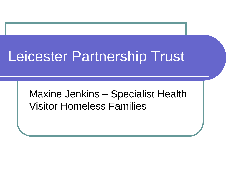# Leicester Partnership Trust

Maxine Jenkins – Specialist Health Visitor Homeless Families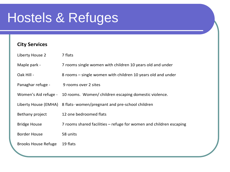### Hostels & Refuges

#### **City Services**

| Liberty House 2            | 7 flats                                                             |
|----------------------------|---------------------------------------------------------------------|
| Maple park -               | 7 rooms single women with children 10 years old and under           |
| Oak Hill -                 | 8 rooms – single women with children 10 years old and under         |
| Panaghar refuge -          | 9 rooms over 2 sites                                                |
| Women's Aid refuge -       | 10 rooms. Women/ children escaping domestic violence.               |
|                            | Liberty House (EMHA) 8 flats-women/pregnant and pre-school children |
| Bethany project            | 12 one bedroomed flats                                              |
| <b>Bridge House</b>        | 7 rooms shared facilities – refuge for women and children escaping  |
| <b>Border House</b>        | 58 units                                                            |
| <b>Brooks House Refuge</b> | 19 flats                                                            |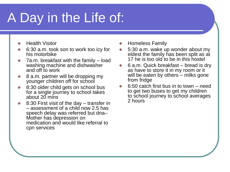## A Day in the Life of:

- Health Visitor
- 6:30 a.m. took son to work too icy for his motorbike
- 7a.m. breakfast with the family load washing machine and dishwasher and off to work
- 8 a.m. partner will be dropping my younger children off for school
- 8:30 older child gets on school bus for a single journey to school takes about 20 mins
- 8:30 First visit of the day transfer in – assessment of a child now 2.5 has speech delay was referred but dna– Mother has depression on medication and would like referral to cpn services
- Homeless Family
- 5:30 a.m. wake up wonder about my eldest the family has been split as at 17 he is too old to be in this hostel
- 6 a.m. Quick breakfast bread is dry as have to store it in my room or it will be eaten by others – milks gone from fridge
- 6:50 catch first bus in to town need to get two buses to get my children to school journey to school averages 2 hours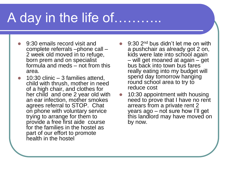### A day in the life of………..

- 9:30 emails record visit and complete referrals –phone call – 2 week old moved in to refuge, born prem and on specialist formula and meds – not from this area.
- 10:30 clinic 3 families attend, child with thrush, mother in need of a high chair, and clothes for her child and one 2 year old with an ear infection, mother smokes agrees referral to STOP. Chat on phone with voluntary service trying to arrange for them to provide a free first aide course for the families in the hostel as part of our effort to promote health in the hostel
- $\bullet$  9:30 2<sup>nd</sup> bus didn't let me on with a pushchair as already got 2 on, kids were late into school again – will get moaned at again – get bus back into town bus fares really eating into my budget will spend day tomorrow hanging round school area to try to reduce cost
- 10:30 appointment with housing need to prove that I have no rent arrears from a private rent 2 years ago – not sure how I'll get this landlord may have moved on by now.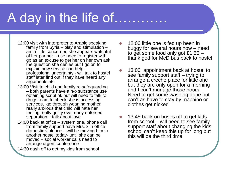### A day in the life of…………

- 12:00 visit with interpreter to Arabic speaking family from Syria – play and stimulation – am a little concerned she appears watchful of her partner – use need to register with gp as an excuse to get her on her own ask the question she denies but I go on to explain how service can help – professional uncertainty - will talk to hostel staff later find out if they have heard any arguments etc
- 13:00 Visit to child and family re safeguarding – both parents have a h/o substance use obtaining script ok but will need to talk to drugs team to check she is accessing services, go through weaning mother really anxious that child will hate her feeling really guilty over early enforced separation – talk about love
- 14:00 back at office system one, phone call from family support have Mrs. x in office domestic violence – will be moving him to another hostel today- until she can be moved – social worker calls need to arrange urgent conference
- 14:30 dash off to get my kids from school
- 12:00 little one is fed up been in buggy for several hours now – need to get some food only got £1;50  $$ thank god for McD bus back to hostel
- 13:00 appointment back at hostel to see family support staff – trying to arrange a crèche place for little one but they are only open for a morning and I can't manage those hours. Need to get some washing done but can't as have to stay by machine or clothes get nicked
- 13:45 back on buses off to get kids from school  $-$  will need to see family support staff about changing the kids school can't keep this up for long but this will be the third time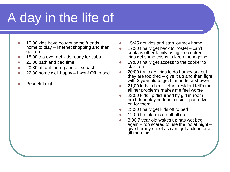## A day in the life of

- 15:30 kids have bought some friends home to play – internet shopping and then get tea
- 18:00 tea over get kids ready for cubs
- 20:00 bath and bed time
- 20:30 off out for a game off squash
- 22:30 home well happy I won! Off to bed
- Peaceful night
- 15:45 get kids and start journey home
- 17:30 finally get back to hostel can't cook as other family using the cooker – kids get some crisps to keep them going
- 19:00 finally get access to the cooker to start tea
- 20:00 try to get kids to do homework but they are too tired – give it up and then fight with 2 year old to get him under a shower
- 21;00 kids to bed other resident tell's me all her problems makes me feel worse
- 22:00 kids up disturbed by girl in room next door playing loud music – put a dvd on for them
- 23:30 finally get kids off to bed
- 12:00 fire alarms go off all out!
- 3:00 7 year old wakes up has wet bed again – too scared to use the loo at night – give her my sheet as cant get a clean one till morning